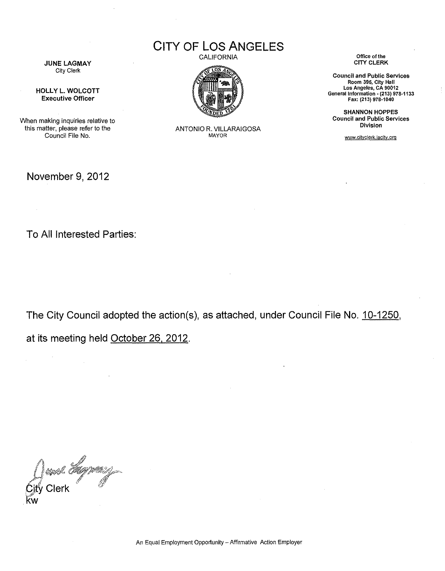CITY OF LOS ANGELES

**CALIFORNIA** 



ANTONIO R. VILLARAIGOSA MAYOR

**Office of the**  CITY CLERK

**Council and Public Services Room 395, City Hall Los Angeles, CA 90012 General Information - (213) 978-1133**  Fax: (213) 978·1040

SHANNON HOPPES **Council and Public Services Division** 

www.cityclerk.lacity.org

JUNE LAGMAY City Clerk

HOLLY L. WOLCOTT Executive Officer

When making inquiries relative to this matter, please refer to the Council File No.

November 9, 2012

To All Interested Parties:

 $\mathbb{Z}^2$ 

The City Council adopted the action(s), as attached, under Council File No. 10-1250,

at its meeting held October 26, 2012.

O and *day may*